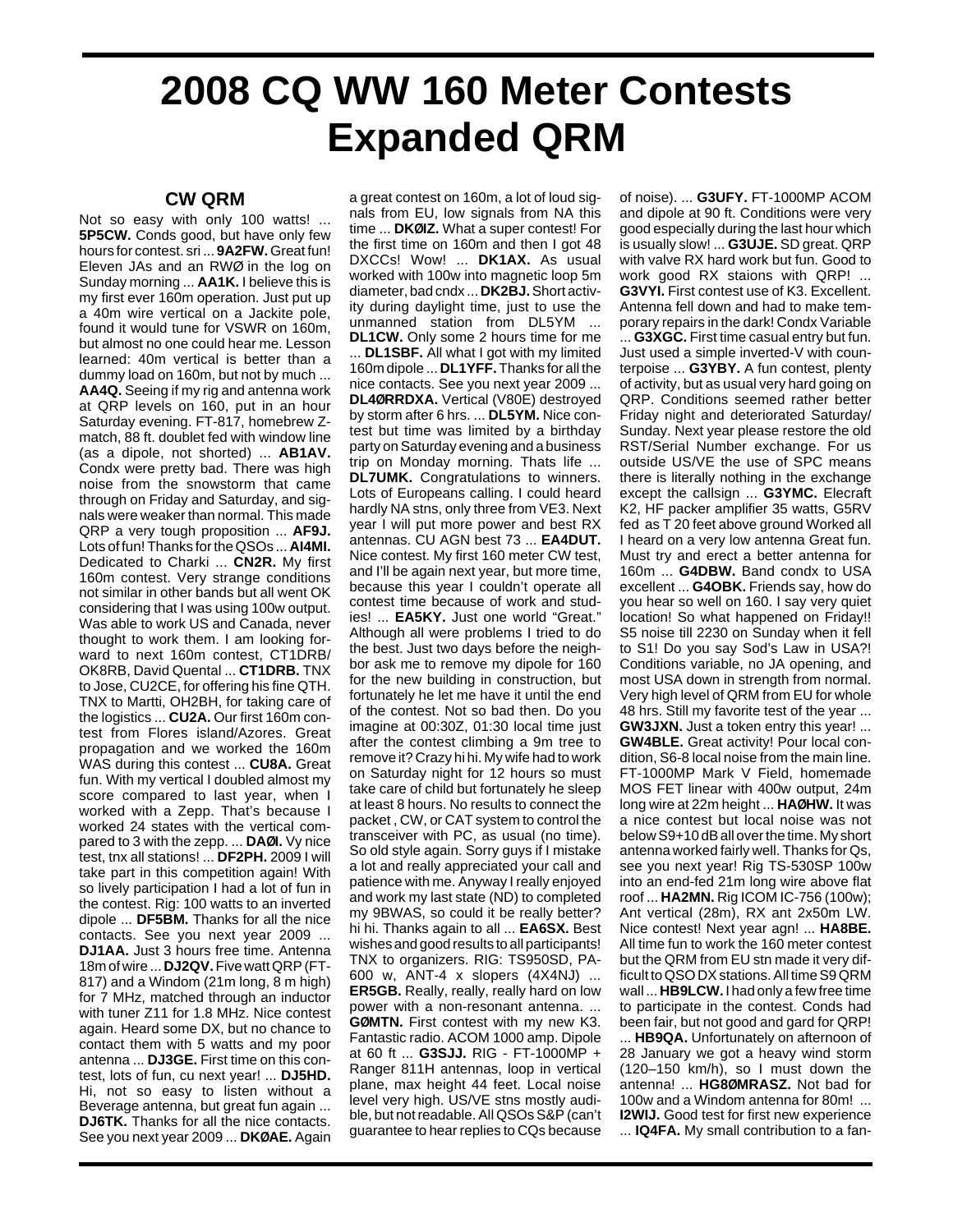## **2008 CQ WW 160 Meter Contests Expanded QRM**

## **CW QRM**

Not so easy with only 100 watts! ... **5P5CW.** Conds good, but have only few hours for contest. sri ... **9A2FW.**Great fun! Eleven JAs and an RWØ in the log on Sunday morning ... **AA1K.** I believe this is my first ever 160m operation. Just put up a 40m wire vertical on a Jackite pole, found it would tune for VSWR on 160m, but almost no one could hear me. Lesson learned: 40m vertical is better than a dummy load on 160m, but not by much ... **AA4Q.** Seeing if my rig and antenna work at QRP levels on 160, put in an hour Saturday evening. FT-817, homebrew Zmatch, 88 ft. doublet fed with window line (as a dipole, not shorted) ... **AB1AV.** Condx were pretty bad. There was high noise from the snowstorm that came through on Friday and Saturday, and signals were weaker than normal. This made QRP a very tough proposition ... **AF9J.** Lots of fun! Thanks for the QSOs ... **AI4MI.** Dedicated to Charki ... **CN2R.** My first 160m contest. Very strange conditions not similar in other bands but all went OK considering that I was using 100w output. Was able to work US and Canada, never thought to work them. I am looking forward to next 160m contest, CT1DRB/ OK8RB, David Quental ... **CT1DRB.** TNX to Jose, CU2CE, for offering his fine QTH. TNX to Martti, OH2BH, for taking care of the logistics ... **CU2A.** Our first 160m contest from Flores island/Azores. Great propagation and we worked the 160m WAS during this contest ... **CU8A.** Great fun. With my vertical I doubled almost my score compared to last year, when I worked with a Zepp. That's because I worked 24 states with the vertical compared to 3 with the zepp. ... **DAØI.** Vy nice test, tnx all stations! ... **DF2PH.** 2009 I will take part in this competition again! With so lively participation I had a lot of fun in the contest. Rig: 100 watts to an inverted dipole ... **DF5BM.** Thanks for all the nice contacts. See you next year 2009 ... **DJ1AA.** Just 3 hours free time. Antenna 18m of wire ... **DJ2QV.**Five watt QRP (FT-817) and a Windom (21m long, 8 m high) for 7 MHz, matched through an inductor with tuner Z11 for 1.8 MHz. Nice contest again. Heard some DX, but no chance to contact them with 5 watts and my poor antenna ... **DJ3GE.** First time on this contest, lots of fun, cu next year! ... **DJ5HD.** Hi, not so easy to listen without a Beverage antenna, but great fun again ... **DJ6TK.** Thanks for all the nice contacts. See you next year 2009 ... **DKØAE.** Again

a great contest on 160m, a lot of loud signals from EU, low signals from NA this time ... **DKØIZ.** What a super contest! For the first time on 160m and then I got 48 DXCCs! Wow! ... **DK1AX.** As usual worked with 100w into magnetic loop 5m diameter, bad cndx ... **DK2BJ.**Short activity during daylight time, just to use the unmanned station from DL5YM ... **DL1CW.** Only some 2 hours time for me ... **DL1SBF.** All what I got with my limited 160m dipole ... **DL1YFF.** Thanks for all the nice contacts. See you next year 2009 ... **DL4ØRRDXA.** Vertical (V80E) destroyed by storm after 6 hrs. ... **DL5YM.** Nice contest but time was limited by a birthday party on Saturday evening and a business trip on Monday morning. Thats life ... **DL7UMK.** Congratulations to winners. Lots of Europeans calling. I could heard hardly NA stns, only three from VE3. Next year I will put more power and best RX antennas. CU AGN best 73 ... **EA4DUT.** Nice contest. My first 160 meter CW test, and I'll be again next year, but more time, because this year I couldn't operate all contest time because of work and studies! ... **EA5KY.** Just one world "Great." Although all were problems I tried to do the best. Just two days before the neighbor ask me to remove my dipole for 160 for the new building in construction, but fortunately he let me have it until the end of the contest. Not so bad then. Do you imagine at 00:30Z, 01:30 local time just after the contest climbing a 9m tree to remove it? Crazy hi hi. My wife had to work on Saturday night for 12 hours so must take care of child but fortunately he sleep at least 8 hours. No results to connect the packet , CW, or CAT system to control the transceiver with PC, as usual (no time). So old style again. Sorry guys if I mistake a lot and really appreciated your call and patience with me. Anyway I really enjoyed and work my last state (ND) to completed my 9BWAS, so could it be really better? hi hi. Thanks again to all ... **EA6SX.** Best wishes and good results to all participants! TNX to organizers. RIG: TS950SD, PA-600 w, ANT-4 x slopers (4X4NJ) ... **ER5GB.** Really, really, really hard on low power with a non-resonant antenna. ... **GØMTN.** First contest with my new K3. Fantastic radio. ACOM 1000 amp. Dipole at 60 ft ... **G3SJJ.** RIG - FT-1000MP + Ranger 811H antennas, loop in vertical plane, max height 44 feet. Local noise level very high. US/VE stns mostly audible, but not readable. All QSOs S&P (can't guarantee to hear replies to CQs because

of noise). ... **G3UFY.** FT-1000MP ACOM and dipole at 90 ft. Conditions were very good especially during the last hour which is usually slow! ... **G3UJE.** SD great. QRP with valve RX hard work but fun. Good to work good RX staions with QRP! ... **G3VYI.** First contest use of K3. Excellent. Antenna fell down and had to make temporary repairs in the dark! Condx Variable ... **G3XGC.** First time casual entry but fun. Just used a simple inverted-V with counterpoise ... **G3YBY.** A fun contest, plenty of activity, but as usual very hard going on QRP. Conditions seemed rather better Friday night and deteriorated Saturday/ Sunday. Next year please restore the old RST/Serial Number exchange. For us outside US/VE the use of SPC means there is literally nothing in the exchange except the callsign ... **G3YMC.** Elecraft K2, HF packer amplifier 35 watts, G5RV fed as T 20 feet above ground Worked all I heard on a very low antenna Great fun. Must try and erect a better antenna for 160m ... **G4DBW.** Band condx to USA excellent ... **G4OBK.** Friends say, how do you hear so well on 160. I say very quiet location! So what happened on Friday!! S5 noise till 2230 on Sunday when it fell to S1! Do you say Sod's Law in USA?! Conditions variable, no JA opening, and most USA down in strength from normal. Very high level of QRM from EU for whole 48 hrs. Still my favorite test of the year ... **GW3JXN.** Just a token entry this year! ... **GW4BLE.** Great activity! Pour local condition, S6-8 local noise from the main line. FT-1000MP Mark V Field, homemade MOS FET linear with 400w output, 24m long wire at 22m height ... **HAØHW.** It was a nice contest but local noise was not below S9+10 dB all over the time. My short antenna worked fairly well. Thanks for Qs, see you next year! Rig TS-530SP 100w into an end-fed 21m long wire above flat roof ... **HA2MN.** Rig ICOM IC-756 (100w); Ant vertical (28m), RX ant 2x50m LW. Nice contest! Next year agn! ... **HA8BE.** All time fun to work the 160 meter contest but the QRM from EU stn made it very difficult to QSO DX stations. All time S9 QRM wall ... **HB9LCW.** I had only a few free time to participate in the contest. Conds had been fair, but not good and gard for QRP!

... **HB9QA.** Unfortunately on afternoon of 28 January we got a heavy wind storm (120–150 km/h), so I must down the antenna! ... **HG8ØMRASZ.** Not bad for 100w and a Windom antenna for 80m! ... **I2WIJ.** Good test for first new experience ... **IQ4FA.** My small contribution to a fan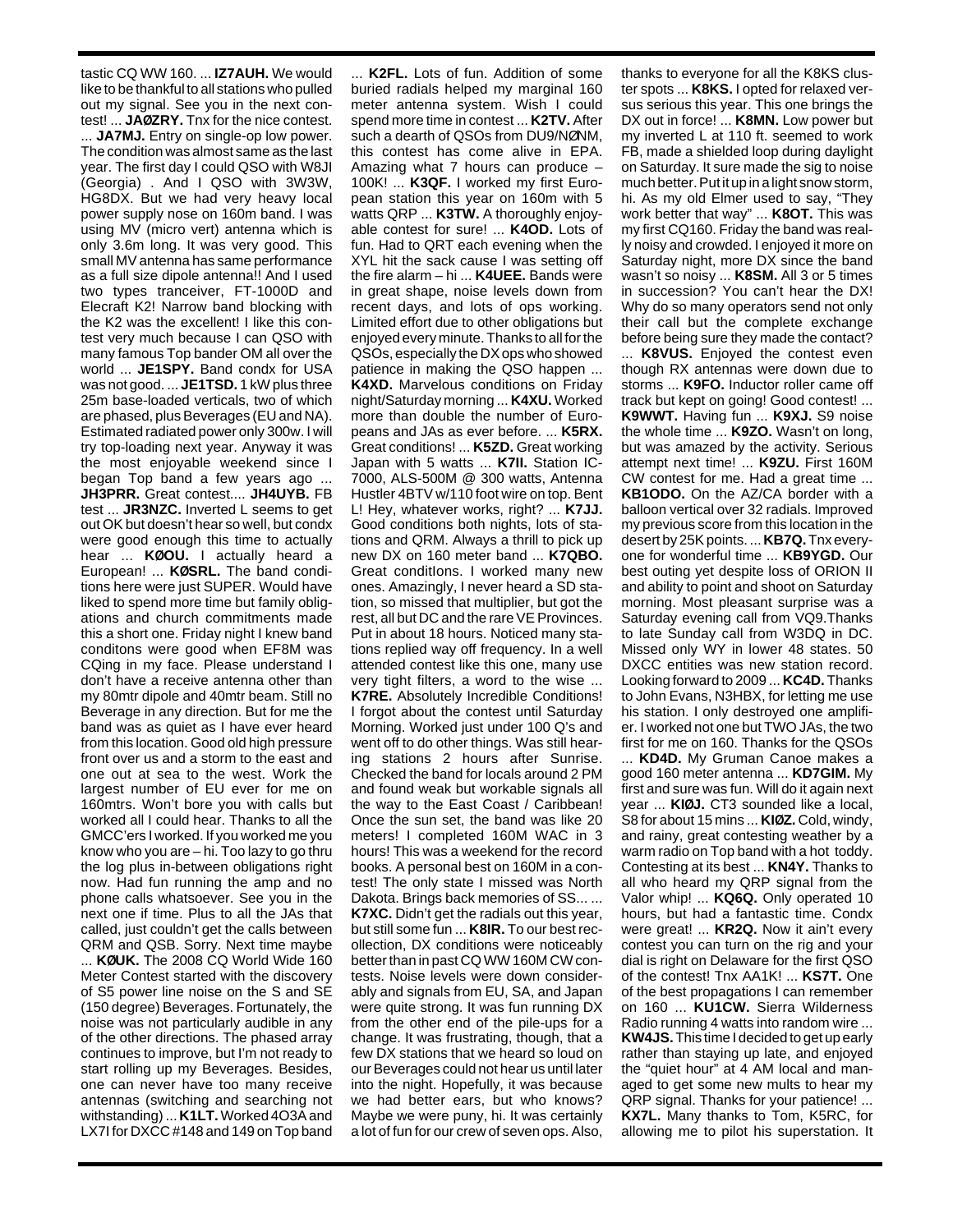tastic CQ WW 160. ... **IZ7AUH.** We would like to be thankful to all stations who pulled out my signal. See you in the next contest! ... **JAØZRY.** Tnx for the nice contest. ... **JA7MJ.** Entry on single-op low power. The condition was almost same as the last year. The first day I could QSO with W8JI (Georgia) . And I QSO with 3W3W, HG8DX. But we had very heavy local power supply nose on 160m band. I was using MV (micro vert) antenna which is only 3.6m long. It was very good. This small MV antenna has same performance as a full size dipole antenna!! And I used two types tranceiver, FT-1000D and Elecraft K2! Narrow band blocking with the K2 was the excellent! I like this contest very much because I can QSO with many famous Top bander OM all over the world ... **JE1SPY.** Band condx for USA was not good. ... **JE1TSD.** 1 kW plus three 25m base-loaded verticals, two of which are phased, plus Beverages (EU and NA). Estimated radiated power only 300w. I will try top-loading next year. Anyway it was the most enjoyable weekend since I began Top band a few years ago ... **JH3PRR.** Great contest.... **JH4UYB.** FB test ... **JR3NZC.** Inverted L seems to get out OK but doesn't hear so well, but condx were good enough this time to actually hear ... **KØOU.** I actually heard a European! ... **KØSRL.** The band conditions here were just SUPER. Would have liked to spend more time but family obligations and church commitments made this a short one. Friday night I knew band conditons were good when EF8M was CQing in my face. Please understand I don't have a receive antenna other than my 80mtr dipole and 40mtr beam. Still no Beverage in any direction. But for me the band was as quiet as I have ever heard from this location. Good old high pressure front over us and a storm to the east and one out at sea to the west. Work the largest number of EU ever for me on 160mtrs. Won't bore you with calls but worked all I could hear. Thanks to all the GMCC'ers I worked. If you worked me you know who you are – hi. Too lazy to go thru the log plus in-between obligations right now. Had fun running the amp and no phone calls whatsoever. See you in the next one if time. Plus to all the JAs that called, just couldn't get the calls between QRM and QSB. Sorry. Next time maybe ... **KØUK.** The 2008 CQ World Wide 160 Meter Contest started with the discovery of S5 power line noise on the S and SE (150 degree) Beverages. Fortunately, the noise was not particularly audible in any of the other directions. The phased array continues to improve, but I'm not ready to start rolling up my Beverages. Besides, one can never have too many receive antennas (switching and searching not

withstanding) ... **K1LT.** Worked 4O3A and LX7I for DXCC #148 and 149 on Top band

... **K2FL.** Lots of fun. Addition of some buried radials helped my marginal 160 meter antenna system. Wish I could spend more time in contest ... **K2TV.** After such a dearth of QSOs from DU9/NØNM, this contest has come alive in EPA. Amazing what 7 hours can produce – 100K! ... **K3QF.** I worked my first European station this year on 160m with 5 watts QRP ... **K3TW.** A thoroughly enjoyable contest for sure! ... **K4OD.** Lots of fun. Had to QRT each evening when the XYL hit the sack cause I was setting off the fire alarm – hi ... **K4UEE.** Bands were in great shape, noise levels down from recent days, and lots of ops working. Limited effort due to other obligations but enjoyed every minute. Thanks to all for the QSOs, especially the DX ops who showed patience in making the QSO happen ... **K4XD.** Marvelous conditions on Friday night/Saturday morning ... **K4XU.** Worked more than double the number of Europeans and JAs as ever before. ... **K5RX.** Great conditions! ... **K5ZD.** Great working Japan with 5 watts ... **K7II.** Station IC-7000, ALS-500M @ 300 watts, Antenna Hustler 4BTV w/110 foot wire on top. Bent L! Hey, whatever works, right? ... **K7JJ.** Good conditions both nights, lots of stations and QRM. Always a thrill to pick up new DX on 160 meter band ... **K7QBO.** Great conditIons. I worked many new ones. Amazingly, I never heard a SD station, so missed that multiplier, but got the rest, all but DC and the rare VE Provinces. Put in about 18 hours. Noticed many stations replied way off frequency. In a well attended contest like this one, many use very tight filters, a word to the wise ... **K7RE.** Absolutely Incredible Conditions! I forgot about the contest until Saturday Morning. Worked just under 100 Q's and went off to do other things. Was still hearing stations 2 hours after Sunrise. Checked the band for locals around 2 PM and found weak but workable signals all the way to the East Coast / Caribbean! Once the sun set, the band was like 20 meters! I completed 160M WAC in 3 hours! This was a weekend for the record books. A personal best on 160M in a contest! The only state I missed was North Dakota. Brings back memories of SS... ... **K7XC.** Didn't get the radials out this year, but still some fun ... **K8IR.** To our best recollection, DX conditions were noticeably better than in past CQ WW 160M CW contests. Noise levels were down considerably and signals from EU, SA, and Japan were quite strong. It was fun running DX from the other end of the pile-ups for a change. It was frustrating, though, that a few DX stations that we heard so loud on our Beverages could not hear us until later into the night. Hopefully, it was because we had better ears, but who knows? Maybe we were puny, hi. It was certainly a lot of fun for our crew of seven ops. Also,

thanks to everyone for all the K8KS cluster spots ... **K8KS.** I opted for relaxed versus serious this year. This one brings the DX out in force! ... **K8MN.** Low power but my inverted L at 110 ft. seemed to work FB, made a shielded loop during daylight on Saturday. It sure made the sig to noise much better. Put it up in a light snow storm, hi. As my old Elmer used to say, "They work better that way" ... **K8OT.** This was my first CQ160. Friday the band was really noisy and crowded. I enjoyed it more on Saturday night, more DX since the band wasn't so noisy ... **K8SM.** All 3 or 5 times in succession? You can't hear the DX! Why do so many operators send not only their call but the complete exchange before being sure they made the contact? ... **K8VUS.** Enjoyed the contest even though RX antennas were down due to storms ... **K9FO.** Inductor roller came off track but kept on going! Good contest! ... **K9WWT.** Having fun ... **K9XJ.** S9 noise the whole time ... **K9ZO.** Wasn't on long, but was amazed by the activity. Serious attempt next time! ... **K9ZU.** First 160M CW contest for me. Had a great time ... **KB1ODO.** On the AZ/CA border with a balloon vertical over 32 radials. Improved my previous score from this location in the desert by 25K points. ... **KB7Q.** Tnx everyone for wonderful time ... **KB9YGD.** Our best outing yet despite loss of ORION II and ability to point and shoot on Saturday morning. Most pleasant surprise was a Saturday evening call from VQ9.Thanks to late Sunday call from W3DQ in DC. Missed only WY in lower 48 states. 50 DXCC entities was new station record. Looking forward to 2009 ... **KC4D.** Thanks to John Evans, N3HBX, for letting me use his station. I only destroyed one amplifier. I worked not one but TWO JAs, the two first for me on 160. Thanks for the QSOs ... **KD4D.** My Gruman Canoe makes a good 160 meter antenna ... **KD7GIM.** My first and sure was fun. Will do it again next year ... **KIØJ.** CT3 sounded like a local, S8 for about 15 mins ... **KIØZ.** Cold, windy, and rainy, great contesting weather by a warm radio on Top band with a hot toddy. Contesting at its best ... **KN4Y.** Thanks to all who heard my QRP signal from the Valor whip! ... **KQ6Q.** Only operated 10 hours, but had a fantastic time. Condx were great! ... **KR2Q.** Now it ain't every contest you can turn on the rig and your dial is right on Delaware for the first QSO of the contest! Tnx AA1K! ... **KS7T.** One of the best propagations I can remember on 160 ... **KU1CW.** Sierra Wilderness Radio running 4 watts into random wire ... **KW4JS.**This time I decided to get up early rather than staying up late, and enjoyed the "quiet hour" at 4 AM local and managed to get some new mults to hear my QRP signal. Thanks for your patience! ... **KX7L.** Many thanks to Tom, K5RC, for allowing me to pilot his superstation. It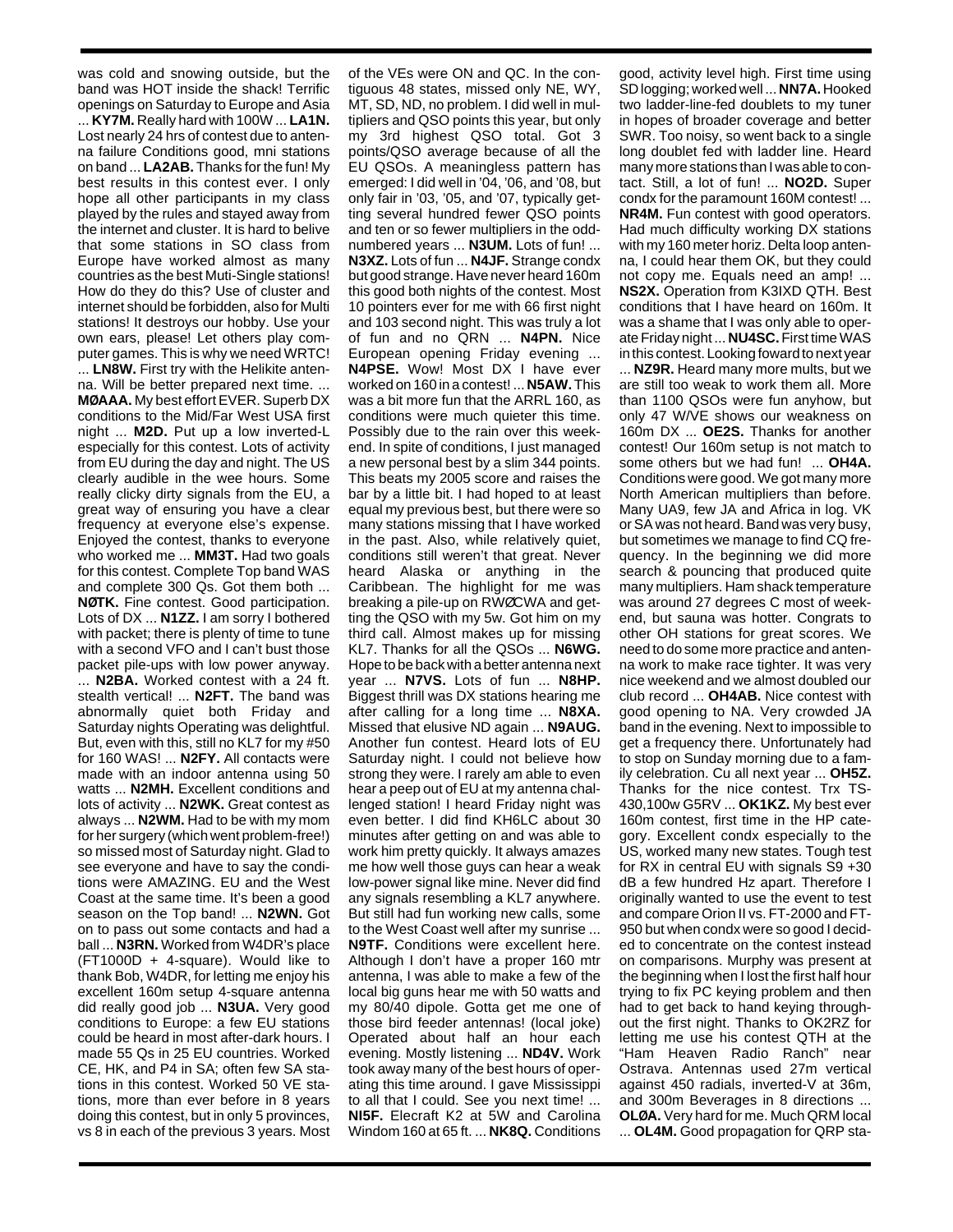was cold and snowing outside, but the band was HOT inside the shack! Terrific openings on Saturday to Europe and Asia ... **KY7M.** Really hard with 100W ... **LA1N.** Lost nearly 24 hrs of contest due to antenna failure Conditions good, mni stations on band ... **LA2AB.** Thanks for the fun! My best results in this contest ever. I only hope all other participants in my class played by the rules and stayed away from the internet and cluster. It is hard to belive that some stations in SO class from Europe have worked almost as many countries as the best Muti-Single stations! How do they do this? Use of cluster and internet should be forbidden, also for Multi stations! It destroys our hobby. Use your own ears, please! Let others play computer games. This is why we need WRTC!

... **LN8W.** First try with the Helikite antenna. Will be better prepared next time. ... **MØAAA.** My best effort EVER. Superb DX conditions to the Mid/Far West USA first night ... **M2D.** Put up a low inverted-L especially for this contest. Lots of activity from EU during the day and night. The US clearly audible in the wee hours. Some really clicky dirty signals from the EU, a great way of ensuring you have a clear frequency at everyone else's expense. Enjoyed the contest, thanks to everyone who worked me ... **MM3T.** Had two goals for this contest. Complete Top band WAS and complete 300 Qs. Got them both ... **NØTK.** Fine contest. Good participation. Lots of DX ... **N1ZZ.** I am sorry I bothered with packet; there is plenty of time to tune with a second VFO and I can't bust those packet pile-ups with low power anyway. ... **N2BA.** Worked contest with a 24 ft. stealth vertical! ... **N2FT.** The band was abnormally quiet both Friday and Saturday nights Operating was delightful. But, even with this, still no KL7 for my #50 for 160 WAS! ... **N2FY.** All contacts were made with an indoor antenna using 50 watts ... **N2MH.** Excellent conditions and lots of activity ... **N2WK.** Great contest as always ... **N2WM.** Had to be with my mom for her surgery (which went problem-free!) so missed most of Saturday night. Glad to see everyone and have to say the conditions were AMAZING. EU and the West Coast at the same time. It's been a good season on the Top band! ... **N2WN.** Got on to pass out some contacts and had a ball ... **N3RN.** Worked from W4DR's place (FT1000D + 4-square). Would like to thank Bob, W4DR, for letting me enjoy his excellent 160m setup 4-square antenna did really good job ... **N3UA.** Very good conditions to Europe: a few EU stations could be heard in most after-dark hours. I made 55 Qs in 25 EU countries. Worked CE, HK, and P4 in SA; often few SA stations in this contest. Worked 50 VE stations, more than ever before in 8 years doing this contest, but in only 5 provinces, vs 8 in each of the previous 3 years. Most

of the VEs were ON and QC. In the contiguous 48 states, missed only NE, WY, MT, SD, ND, no problem. I did well in multipliers and QSO points this year, but only my 3rd highest QSO total. Got 3 points/QSO average because of all the EU QSOs. A meaningless pattern has emerged: I did well in '04, '06, and '08, but only fair in '03, '05, and '07, typically getting several hundred fewer QSO points and ten or so fewer multipliers in the oddnumbered years ... **N3UM.** Lots of fun! ... **N3XZ.** Lots of fun ... **N4JF.** Strange condx but good strange. Have never heard 160m this good both nights of the contest. Most 10 pointers ever for me with 66 first night and 103 second night. This was truly a lot of fun and no QRN ... **N4PN.** Nice European opening Friday evening ... **N4PSE.** Wow! Most DX I have ever worked on 160 in a contest! ... **N5AW.**This was a bit more fun that the ARRL 160, as conditions were much quieter this time. Possibly due to the rain over this weekend. In spite of conditions, I just managed a new personal best by a slim 344 points. This beats my 2005 score and raises the bar by a little bit. I had hoped to at least equal my previous best, but there were so many stations missing that I have worked in the past. Also, while relatively quiet, conditions still weren't that great. Never heard Alaska or anything in the Caribbean. The highlight for me was breaking a pile-up on RWØCWA and getting the QSO with my 5w. Got him on my third call. Almost makes up for missing KL7. Thanks for all the QSOs ... **N6WG.** Hope to be back with a better antenna next year ... **N7VS.** Lots of fun ... **N8HP.** Biggest thrill was DX stations hearing me after calling for a long time ... **N8XA.** Missed that elusive ND again ... **N9AUG.** Another fun contest. Heard lots of EU Saturday night. I could not believe how strong they were. I rarely am able to even hear a peep out of EU at my antenna challenged station! I heard Friday night was even better. I did find KH6LC about 30 minutes after getting on and was able to work him pretty quickly. It always amazes me how well those guys can hear a weak low-power signal like mine. Never did find any signals resembling a KL7 anywhere. But still had fun working new calls, some to the West Coast well after my sunrise ... **N9TF.** Conditions were excellent here. Although I don't have a proper 160 mtr antenna, I was able to make a few of the local big guns hear me with 50 watts and my 80/40 dipole. Gotta get me one of those bird feeder antennas! (local joke) Operated about half an hour each evening. Mostly listening ... **ND4V.** Work took away many of the best hours of operating this time around. I gave Mississippi to all that I could. See you next time! ... **NI5F.** Elecraft K2 at 5W and Carolina Windom 160 at 65 ft. ... **NK8Q.** Conditions

good, activity level high. First time using SD logging; worked well ... **NN7A.** Hooked two ladder-line-fed doublets to my tuner in hopes of broader coverage and better SWR. Too noisy, so went back to a single long doublet fed with ladder line. Heard many more stations than I was able to contact. Still, a lot of fun! ... **NO2D.** Super condx for the paramount 160M contest! ... **NR4M.** Fun contest with good operators. Had much difficulty working DX stations with my 160 meter horiz. Delta loop antenna, I could hear them OK, but they could not copy me. Equals need an amp! ... **NS2X.** Operation from K3IXD QTH. Best conditions that I have heard on 160m. It was a shame that I was only able to operate Friday night ... **NU4SC.**First time WAS in this contest. Looking foward to next year

... **NZ9R.** Heard many more mults, but we are still too weak to work them all. More than 1100 QSOs were fun anyhow, but only 47 W/VE shows our weakness on 160m DX ... **OE2S.** Thanks for another contest! Our 160m setup is not match to some others but we had fun! ... **OH4A.** Conditions were good. We got many more North American multipliers than before. Many UA9, few JA and Africa in log. VK or SA was not heard. Band was very busy, but sometimes we manage to find CQ frequency. In the beginning we did more search & pouncing that produced quite many multipliers. Ham shack temperature was around 27 degrees C most of weekend, but sauna was hotter. Congrats to other OH stations for great scores. We need to do some more practice and antenna work to make race tighter. It was very nice weekend and we almost doubled our club record ... **OH4AB.** Nice contest with good opening to NA. Very crowded JA band in the evening. Next to impossible to get a frequency there. Unfortunately had to stop on Sunday morning due to a family celebration. Cu all next year ... **OH5Z.** Thanks for the nice contest. Trx TS-430,100w G5RV ... **OK1KZ.** My best ever 160m contest, first time in the HP category. Excellent condx especially to the US, worked many new states. Tough test for RX in central EU with signals S9 +30 dB a few hundred Hz apart. Therefore I originally wanted to use the event to test and compare Orion II vs. FT-2000 and FT-950 but when condx were so good I decided to concentrate on the contest instead on comparisons. Murphy was present at the beginning when I lost the first half hour trying to fix PC keying problem and then had to get back to hand keying throughout the first night. Thanks to OK2RZ for letting me use his contest QTH at the "Ham Heaven Radio Ranch" near Ostrava. Antennas used 27m vertical against 450 radials, inverted-V at 36m, and 300m Beverages in 8 directions ... **OLØA.** Very hard for me. Much QRM local ... **OL4M.** Good propagation for QRP sta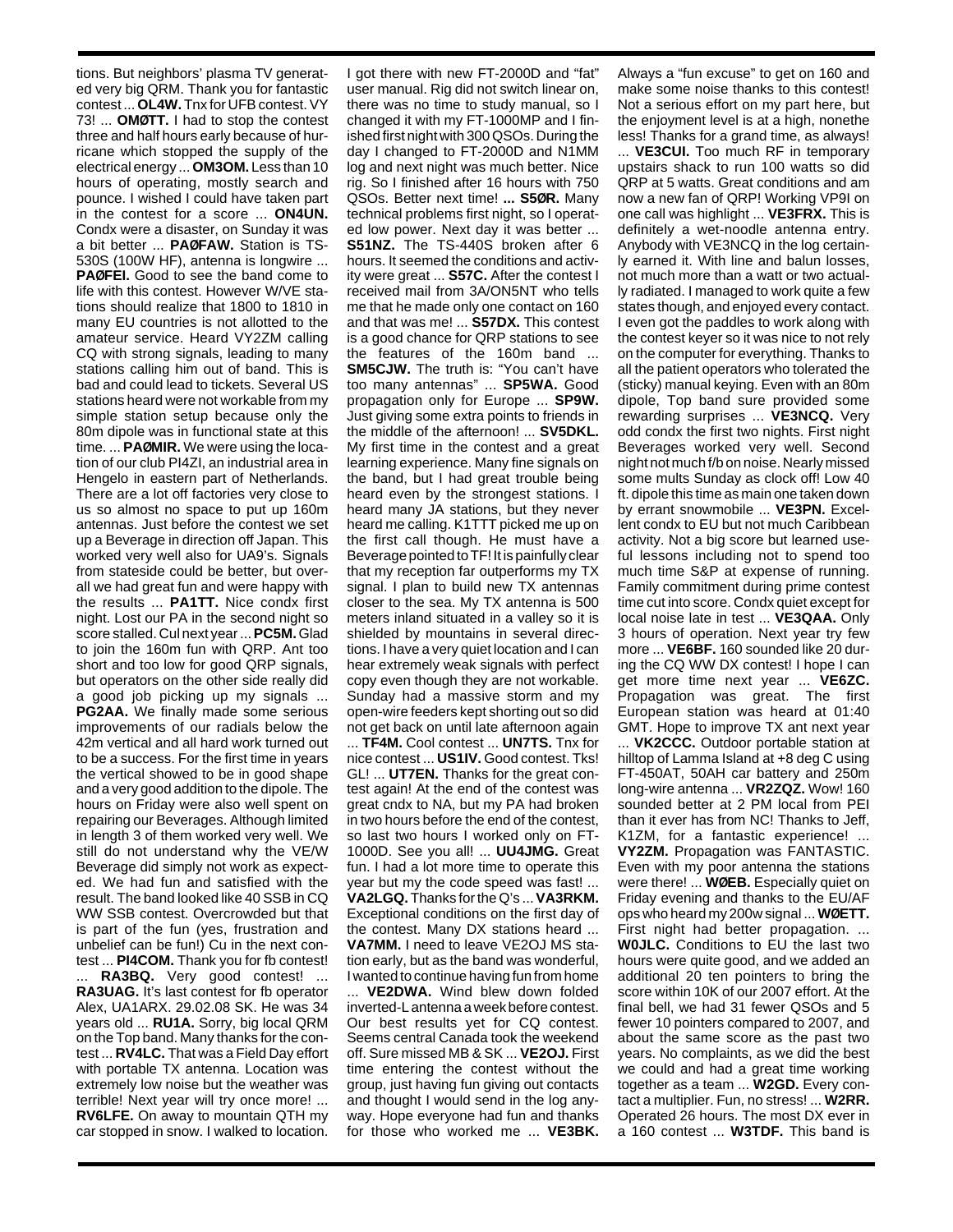tions. But neighbors' plasma TV generated very big QRM. Thank you for fantastic contest ... **OL4W.** Tnx for UFB contest. VY 73! ... **OMØTT.** I had to stop the contest three and half hours early because of hurricane which stopped the supply of the electrical energy ... **OM3OM.** Less than 10 hours of operating, mostly search and pounce. I wished I could have taken part in the contest for a score ... **ON4UN.** Condx were a disaster, on Sunday it was a bit better ... **PAØFAW.** Station is TS-530S (100W HF), antenna is longwire ... **PAØFEI.** Good to see the band come to life with this contest. However W/VE stations should realize that 1800 to 1810 in many EU countries is not allotted to the amateur service. Heard VY2ZM calling CQ with strong signals, leading to many stations calling him out of band. This is bad and could lead to tickets. Several US stations heard were not workable from my simple station setup because only the 80m dipole was in functional state at this time. ... **PAØMIR.** We were using the location of our club PI4ZI, an industrial area in Hengelo in eastern part of Netherlands. There are a lot off factories very close to us so almost no space to put up 160m antennas. Just before the contest we set up a Beverage in direction off Japan. This worked very well also for UA9's. Signals from stateside could be better, but overall we had great fun and were happy with the results ... **PA1TT.** Nice condx first night. Lost our PA in the second night so score stalled. Cul next year ... **PC5M.**Glad to join the 160m fun with QRP. Ant too short and too low for good QRP signals, but operators on the other side really did a good job picking up my signals ... **PG2AA.** We finally made some serious improvements of our radials below the 42m vertical and all hard work turned out to be a success. For the first time in years the vertical showed to be in good shape and a very good addition to the dipole. The hours on Friday were also well spent on repairing our Beverages. Although limited in length 3 of them worked very well. We still do not understand why the VE/W Beverage did simply not work as expected. We had fun and satisfied with the result. The band looked like 40 SSB in CQ WW SSB contest. Overcrowded but that is part of the fun (yes, frustration and unbelief can be fun!) Cu in the next contest ... **PI4COM.** Thank you for fb contest! ... **RA3BQ.** Very good contest! ... **RA3UAG.** It's last contest for fb operator Alex, UA1ARX. 29.02.08 SK. He was 34 years old ... **RU1A.** Sorry, big local QRM on the Top band. Many thanks for the con-

test ... **RV4LC.** That was a Field Day effort with portable TX antenna. Location was extremely low noise but the weather was terrible! Next year will try once more! ... **RV6LFE.** On away to mountain QTH my car stopped in snow. I walked to location.

I got there with new FT-2000D and "fat" user manual. Rig did not switch linear on, there was no time to study manual, so I changed it with my FT-1000MP and I finished first night with 300 QSOs. During the day I changed to FT-2000D and N1MM log and next night was much better. Nice rig. So I finished after 16 hours with 750 QSOs. Better next time! **... S5ØR.** Many technical problems first night, so I operated low power. Next day it was better ... **S51NZ.** The TS-440S broken after 6 hours. It seemed the conditions and activity were great ... **S57C.** After the contest I received mail from 3A/ON5NT who tells me that he made only one contact on 160 and that was me! ... **S57DX.** This contest is a good chance for QRP stations to see the features of the 160m band ... **SM5CJW.** The truth is: "You can't have too many antennas" ... **SP5WA.** Good propagation only for Europe ... **SP9W.** Just giving some extra points to friends in the middle of the afternoon! ... **SV5DKL.** My first time in the contest and a great learning experience. Many fine signals on the band, but I had great trouble being heard even by the strongest stations. I heard many JA stations, but they never heard me calling. K1TTT picked me up on the first call though. He must have a Beverage pointed to TF! It is painfully clear that my reception far outperforms my TX signal. I plan to build new TX antennas closer to the sea. My TX antenna is 500 meters inland situated in a valley so it is shielded by mountains in several directions. I have a very quiet location and I can hear extremely weak signals with perfect copy even though they are not workable. Sunday had a massive storm and my open-wire feeders kept shorting out so did not get back on until late afternoon again

... **TF4M.** Cool contest ... **UN7TS.** Tnx for nice contest ... **US1IV.** Good contest. Tks! GL! ... **UT7EN.** Thanks for the great contest again! At the end of the contest was great cndx to NA, but my PA had broken in two hours before the end of the contest, so last two hours I worked only on FT-1000D. See you all! ... **UU4JMG.** Great fun. I had a lot more time to operate this year but my the code speed was fast! ... **VA2LGQ.** Thanks for the Q's ... **VA3RKM.** Exceptional conditions on the first day of the contest. Many DX stations heard ... **VA7MM.** I need to leave VE2OJ MS station early, but as the band was wonderful, I wanted to continue having fun from home ... **VE2DWA.** Wind blew down folded inverted-L antenna a week before contest. Our best results yet for CQ contest. Seems central Canada took the weekend off. Sure missed MB & SK ... **VE2OJ.** First time entering the contest without the group, just having fun giving out contacts and thought I would send in the log any-

way. Hope everyone had fun and thanks for those who worked me ... **VE3BK.** Always a "fun excuse" to get on 160 and make some noise thanks to this contest! Not a serious effort on my part here, but the enjoyment level is at a high, nonethe less! Thanks for a grand time, as always!

... **VE3CUI.** Too much RF in temporary upstairs shack to run 100 watts so did QRP at 5 watts. Great conditions and am now a new fan of QRP! Working VP9I on one call was highlight ... **VE3FRX.** This is definitely a wet-noodle antenna entry. Anybody with VE3NCQ in the log certainly earned it. With line and balun losses, not much more than a watt or two actually radiated. I managed to work quite a few states though, and enjoyed every contact. I even got the paddles to work along with the contest keyer so it was nice to not rely on the computer for everything. Thanks to all the patient operators who tolerated the (sticky) manual keying. Even with an 80m dipole, Top band sure provided some rewarding surprises ... **VE3NCQ.** Very odd condx the first two nights. First night Beverages worked very well. Second night not much f/b on noise. Nearly missed some mults Sunday as clock off! Low 40 ft. dipole this time as main one taken down by errant snowmobile ... **VE3PN.** Excellent condx to EU but not much Caribbean activity. Not a big score but learned useful lessons including not to spend too much time S&P at expense of running. Family commitment during prime contest time cut into score. Condx quiet except for local noise late in test ... **VE3QAA.** Only 3 hours of operation. Next year try few more ... **VE6BF.** 160 sounded like 20 during the CQ WW DX contest! I hope I can get more time next year ... **VE6ZC.** Propagation was great. The first European station was heard at 01:40 GMT. Hope to improve TX ant next year ... **VK2CCC.** Outdoor portable station at hilltop of Lamma Island at +8 deg C using FT-450AT, 50AH car battery and 250m long-wire antenna ... **VR2ZQZ.** Wow! 160 sounded better at 2 PM local from PEI than it ever has from NC! Thanks to Jeff, K1ZM, for a fantastic experience! **VY2ZM.** Propagation was FANTASTIC. Even with my poor antenna the stations were there! ... **WØEB.** Especially quiet on Friday evening and thanks to the EU/AF ops who heard my 200w signal ... **WØETT.** First night had better propagation. ... **W0JLC.** Conditions to EU the last two hours were quite good, and we added an additional 20 ten pointers to bring the score within 10K of our 2007 effort. At the final bell, we had 31 fewer QSOs and 5 fewer 10 pointers compared to 2007, and about the same score as the past two years. No complaints, as we did the best we could and had a great time working together as a team ... **W2GD.** Every contact a multiplier. Fun, no stress! ... **W2RR.** Operated 26 hours. The most DX ever in a 160 contest ... **W3TDF.** This band is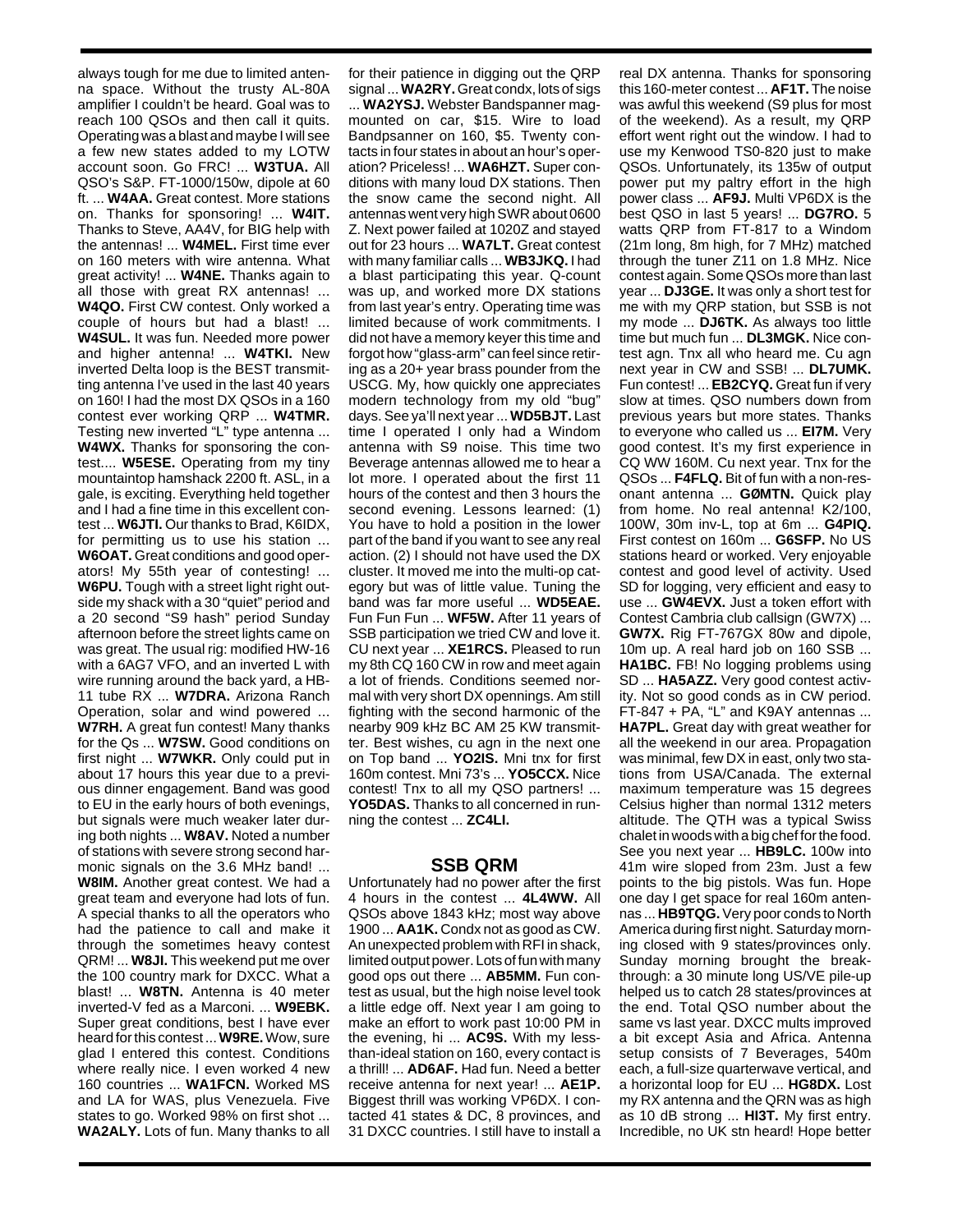always tough for me due to limited antenna space. Without the trusty AL-80A amplifier I couldn't be heard. Goal was to reach 100 QSOs and then call it quits. Operating was a blast and maybe I will see a few new states added to my LOTW account soon. Go FRC! ... **W3TUA.** All QSO's S&P. FT-1000/150w, dipole at 60 ft. ... **W4AA.** Great contest. More stations on. Thanks for sponsoring! ... **W4IT.** Thanks to Steve, AA4V, for BIG help with the antennas! ... **W4MEL.** First time ever on 160 meters with wire antenna. What great activity! ... **W4NE.** Thanks again to all those with great RX antennas! ... **W4QO.** First CW contest. Only worked a couple of hours but had a blast! ... **W4SUL.** It was fun. Needed more power and higher antenna! ... **W4TKI.** New inverted Delta loop is the BEST transmitting antenna I've used in the last 40 years on 160! I had the most DX QSOs in a 160 contest ever working QRP ... **W4TMR.** Testing new inverted "L" type antenna ... **W4WX.** Thanks for sponsoring the contest.... **W5ESE.** Operating from my tiny mountaintop hamshack 2200 ft. ASL, in a gale, is exciting. Everything held together and I had a fine time in this excellent contest ... **W6JTI.** Our thanks to Brad, K6IDX, for permitting us to use his station ... **W6OAT.** Great conditions and good operators! My 55th year of contesting! ... **W6PU.** Tough with a street light right outside my shack with a 30 "quiet" period and a 20 second "S9 hash" period Sunday afternoon before the street lights came on was great. The usual rig: modified HW-16 with a 6AG7 VFO, and an inverted L with wire running around the back yard, a HB-11 tube RX ... **W7DRA.** Arizona Ranch Operation, solar and wind powered ... **W7RH.** A great fun contest! Many thanks for the Qs ... **W7SW.** Good conditions on first night ... **W7WKR.** Only could put in about 17 hours this year due to a previous dinner engagement. Band was good to EU in the early hours of both evenings, but signals were much weaker later during both nights ... **W8AV.** Noted a number of stations with severe strong second harmonic signals on the 3.6 MHz band! ... **W8IM.** Another great contest. We had a great team and everyone had lots of fun. A special thanks to all the operators who had the patience to call and make it through the sometimes heavy contest QRM! ... **W8JI.** This weekend put me over the 100 country mark for DXCC. What a blast! ... **W8TN.** Antenna is 40 meter inverted-V fed as a Marconi. ... **W9EBK.** Super great conditions, best I have ever heard for this contest ... **W9RE.**Wow, sure glad I entered this contest. Conditions where really nice. I even worked 4 new 160 countries ... **WA1FCN.** Worked MS and LA for WAS, plus Venezuela. Five states to go. Worked 98% on first shot ... **WA2ALY.** Lots of fun. Many thanks to all

for their patience in digging out the QRP signal ... **WA2RY.**Great condx, lots of sigs ... **WA2YSJ.** Webster Bandspanner magmounted on car, \$15. Wire to load Bandpsanner on 160, \$5. Twenty contacts in four states in about an hour's operation? Priceless! ... **WA6HZT.** Super conditions with many loud DX stations. Then the snow came the second night. All antennas went very high SWR about 0600 Z. Next power failed at 1020Z and stayed out for 23 hours ... **WA7LT.** Great contest with many familiar calls ... **WB3JKQ.** I had a blast participating this year. Q-count was up, and worked more DX stations from last year's entry. Operating time was limited because of work commitments. I did not have a memory keyer this time and forgot how "glass-arm" can feel since retiring as a 20+ year brass pounder from the USCG. My, how quickly one appreciates modern technology from my old "bug" days. See ya'll next year ... **WD5BJT.** Last time I operated I only had a Windom antenna with S9 noise. This time two Beverage antennas allowed me to hear a lot more. I operated about the first 11 hours of the contest and then 3 hours the second evening. Lessons learned: (1) You have to hold a position in the lower part of the band if you want to see any real action. (2) I should not have used the DX cluster. It moved me into the multi-op category but was of little value. Tuning the band was far more useful ... **WD5EAE.** Fun Fun Fun ... **WF5W.** After 11 years of SSB participation we tried CW and love it. CU next year ... **XE1RCS.** Pleased to run my 8th CQ 160 CW in row and meet again a lot of friends. Conditions seemed normal with very short DX opennings. Am still fighting with the second harmonic of the nearby 909 kHz BC AM 25 KW transmitter. Best wishes, cu agn in the next one on Top band ... **YO2IS.** Mni tnx for first 160m contest. Mni 73's ... **YO5CCX.** Nice contest! Tnx to all my QSO partners! ... **YO5DAS.** Thanks to all concerned in running the contest ... **ZC4LI.**

## **SSB QRM**

Unfortunately had no power after the first 4 hours in the contest ... **4L4WW.** All QSOs above 1843 kHz; most way above 1900 ... **AA1K.** Condx not as good as CW. An unexpected problem with RFI in shack, limited output power. Lots of fun with many good ops out there ... **AB5MM.** Fun contest as usual, but the high noise level took a little edge off. Next year I am going to make an effort to work past 10:00 PM in the evening, hi ... **AC9S.** With my lessthan-ideal station on 160, every contact is a thrill! ... **AD6AF.** Had fun. Need a better receive antenna for next year! ... **AE1P.** Biggest thrill was working VP6DX. I contacted 41 states & DC, 8 provinces, and 31 DXCC countries. I still have to install a real DX antenna. Thanks for sponsoring this 160-meter contest ... **AF1T.** The noise was awful this weekend (S9 plus for most of the weekend). As a result, my QRP effort went right out the window. I had to use my Kenwood TS0-820 just to make QSOs. Unfortunately, its 135w of output power put my paltry effort in the high power class ... **AF9J.** Multi VP6DX is the best QSO in last 5 years! ... **DG7RO.** 5 watts QRP from FT-817 to a Windom (21m long, 8m high, for 7 MHz) matched through the tuner Z11 on 1.8 MHz. Nice contest again. Some QSOs more than last year ... **DJ3GE.** It was only a short test for me with my QRP station, but SSB is not my mode ... **DJ6TK.** As always too little time but much fun ... **DL3MGK.** Nice contest agn. Tnx all who heard me. Cu agn next year in CW and SSB! ... **DL7UMK.** Fun contest! ... **EB2CYQ.** Great fun if very slow at times. QSO numbers down from previous years but more states. Thanks to everyone who called us ... **EI7M.** Very good contest. It's my first experience in CQ WW 160M. Cu next year. Tnx for the QSOs ... **F4FLQ.** Bit of fun with a non-resonant antenna ... **GØMTN.** Quick play from home. No real antenna! K2/100, 100W, 30m inv-L, top at 6m ... **G4PIQ.** First contest on 160m ... **G6SFP.** No US stations heard or worked. Very enjoyable contest and good level of activity. Used SD for logging, very efficient and easy to use ... **GW4EVX.** Just a token effort with Contest Cambria club callsign (GW7X) ... **GW7X.** Rig FT-767GX 80w and dipole, 10m up. A real hard job on 160 SSB ... **HA1BC.** FB! No logging problems using SD ... **HA5AZZ.** Very good contest activity. Not so good conds as in CW period. FT-847 + PA, "L" and K9AY antennas ... **HA7PL.** Great day with great weather for all the weekend in our area. Propagation was minimal, few DX in east, only two stations from USA/Canada. The external maximum temperature was 15 degrees Celsius higher than normal 1312 meters altitude. The QTH was a typical Swiss chalet in woods with a big chef for the food. See you next year ... **HB9LC.** 100w into 41m wire sloped from 23m. Just a few points to the big pistols. Was fun. Hope one day I get space for real 160m antennas ... **HB9TQG.**Very poor conds to North America during first night. Saturday morning closed with 9 states/provinces only. Sunday morning brought the breakthrough: a 30 minute long US/VE pile-up helped us to catch 28 states/provinces at the end. Total QSO number about the same vs last year. DXCC mults improved a bit except Asia and Africa. Antenna setup consists of 7 Beverages, 540m each, a full-size quarterwave vertical, and a horizontal loop for EU ... **HG8DX.** Lost my RX antenna and the QRN was as high as 10 dB strong ... **HI3T.** My first entry. Incredible, no UK stn heard! Hope better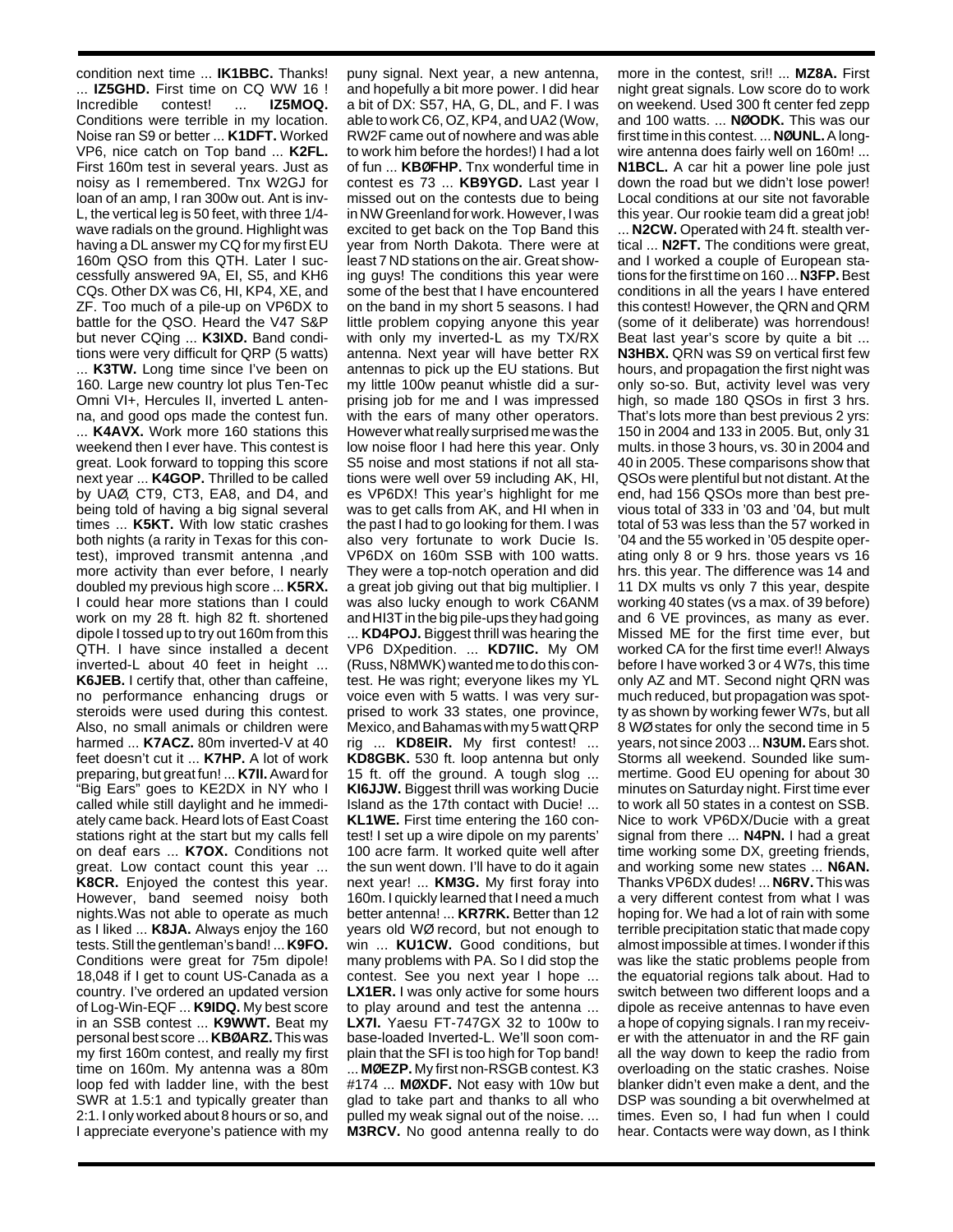condition next time ... **IK1BBC.** Thanks! ... **IZ5GHD.** First time on CQ WW 16 ! Incredible contest! ... **IZ5MOQ.** Conditions were terrible in my location. Noise ran S9 or better ... **K1DFT.** Worked VP6, nice catch on Top band ... **K2FL.** First 160m test in several years. Just as noisy as I remembered. Tnx W2GJ for loan of an amp, I ran 300w out. Ant is inv-L, the vertical leg is 50 feet, with three 1/4 wave radials on the ground. Highlight was having a DL answer my CQ for my first EU 160m QSO from this QTH. Later I successfully answered 9A, EI, S5, and KH6 CQs. Other DX was C6, HI, KP4, XE, and ZF. Too much of a pile-up on VP6DX to battle for the QSO. Heard the V47 S&P but never CQing ... **K3IXD.** Band conditions were very difficult for QRP (5 watts)

... **K3TW.** Long time since I've been on 160. Large new country lot plus Ten-Tec Omni VI+, Hercules II, inverted L antenna, and good ops made the contest fun. ... **K4AVX.** Work more 160 stations this weekend then I ever have. This contest is great. Look forward to topping this score next year ... **K4GOP.** Thrilled to be called by UAØ, CT9, CT3, EA8, and D4, and being told of having a big signal several times ... **K5KT.** With low static crashes both nights (a rarity in Texas for this contest), improved transmit antenna ,and more activity than ever before, I nearly doubled my previous high score ... **K5RX.** I could hear more stations than I could work on my 28 ft. high 82 ft. shortened dipole I tossed up to try out 160m from this QTH. I have since installed a decent inverted-L about 40 feet in height ...

**K6JEB.** I certify that, other than caffeine, no performance enhancing drugs or steroids were used during this contest. Also, no small animals or children were harmed ... **K7ACZ.** 80m inverted-V at 40 feet doesn't cut it ... **K7HP.** A lot of work preparing, but great fun! ... **K7II.** Award for "Big Ears" goes to KE2DX in NY who I called while still daylight and he immediately came back. Heard lots of East Coast stations right at the start but my calls fell on deaf ears ... **K7OX.** Conditions not areat. Low contact count this year ... **K8CR.** Enjoyed the contest this year. However, band seemed noisy both nights.Was not able to operate as much as I liked ... **K8JA.** Always enjoy the 160 tests. Still the gentleman's band! ... **K9FO.** Conditions were great for 75m dipole! 18,048 if I get to count US-Canada as a country. I've ordered an updated version of Log-Win-EQF ... **K9IDQ.** My best score in an SSB contest ... **K9WWT.** Beat my personal best score ... **KBØARZ.** This was my first 160m contest, and really my first time on 160m. My antenna was a 80m loop fed with ladder line, with the best SWR at 1.5:1 and typically greater than 2:1. I only worked about 8 hours or so, and I appreciate everyone's patience with my

puny signal. Next year, a new antenna, and hopefully a bit more power. I did hear a bit of DX: S57, HA, G, DL, and F. I was able to work C6, OZ, KP4, and UA2 (Wow, RW2F came out of nowhere and was able to work him before the hordes!) I had a lot of fun ... **KBØFHP.** Tnx wonderful time in contest es 73 ... **KB9YGD.** Last year I missed out on the contests due to being in NW Greenland for work. However, I was excited to get back on the Top Band this year from North Dakota. There were at least 7 ND stations on the air. Great showing guys! The conditions this year were some of the best that I have encountered on the band in my short 5 seasons. I had little problem copying anyone this year with only my inverted-L as my TX/RX antenna. Next year will have better RX antennas to pick up the EU stations. But my little 100w peanut whistle did a surprising job for me and I was impressed with the ears of many other operators. However what really surprised me was the low noise floor I had here this year. Only S5 noise and most stations if not all stations were well over 59 including AK, HI, es VP6DX! This year's highlight for me was to get calls from AK, and HI when in the past I had to go looking for them. I was also very fortunate to work Ducie Is. VP6DX on 160m SSB with 100 watts. They were a top-notch operation and did a great job giving out that big multiplier. I was also lucky enough to work C6ANM and HI3T in the big pile-ups they had going ... **KD4POJ.** Biggest thrill was hearing the VP6 DXpedition. ... **KD7IIC.** My OM (Russ, N8MWK) wanted me to do this contest. He was right; everyone likes my YL voice even with 5 watts. I was very surprised to work 33 states, one province, Mexico, and Bahamas with my 5 watt QRP rig ... **KD8EIR.** My first contest! ... **KD8GBK.** 530 ft. loop antenna but only 15 ft. off the ground. A tough slog ... **KI6JJW.** Biggest thrill was working Ducie Island as the 17th contact with Ducie! ... **KL1WE.** First time entering the 160 contest! I set up a wire dipole on my parents' 100 acre farm. It worked quite well after the sun went down. I'll have to do it again next year! ... **KM3G.** My first foray into 160m. I quickly learned that I need a much better antenna! ... **KR7RK.** Better than 12 years old WØ record, but not enough to win ... **KU1CW.** Good conditions, but many problems with PA. So I did stop the contest. See you next year I hope ... **LX1ER.** I was only active for some hours to play around and test the antenna ... **LX7I.** Yaesu FT-747GX 32 to 100w to base-loaded Inverted-L. We'll soon complain that the SFI is too high for Top band! ... **MØEZP.** My first non-RSGB contest. K3 #174 ... **MØXDF.** Not easy with 10w but glad to take part and thanks to all who pulled my weak signal out of the noise. ... **M3RCV.** No good antenna really to do

more in the contest, sri!! ... **MZ8A.** First night great signals. Low score do to work on weekend. Used 300 ft center fed zepp and 100 watts. ... **NØODK.** This was our first time in this contest. ... **NØUNL.**A longwire antenna does fairly well on 160m! ... **N1BCL.** A car hit a power line pole just down the road but we didn't lose power! Local conditions at our site not favorable this year. Our rookie team did a great job! ... **N2CW.** Operated with 24 ft. stealth ver-

tical ... **N2FT.** The conditions were great, and I worked a couple of European stations for the first time on 160 ... **N3FP.**Best conditions in all the years I have entered this contest! However, the QRN and QRM (some of it deliberate) was horrendous! Beat last year's score by quite a bit ... **N3HBX.** QRN was S9 on vertical first few hours, and propagation the first night was only so-so. But, activity level was very high, so made 180 QSOs in first 3 hrs. That's lots more than best previous 2 yrs: 150 in 2004 and 133 in 2005. But, only 31 mults. in those 3 hours, vs. 30 in 2004 and 40 in 2005. These comparisons show that QSOs were plentiful but not distant. At the end, had 156 QSOs more than best previous total of 333 in '03 and '04, but mult total of 53 was less than the 57 worked in '04 and the 55 worked in '05 despite operating only 8 or 9 hrs. those years vs 16 hrs. this year. The difference was 14 and 11 DX mults vs only 7 this year, despite working 40 states (vs a max. of 39 before) and 6 VE provinces, as many as ever. Missed ME for the first time ever, but worked CA for the first time ever!! Always before I have worked 3 or 4 W7s, this time only AZ and MT. Second night QRN was much reduced, but propagation was spotty as shown by working fewer W7s, but all 8 WØ states for only the second time in 5 years, not since 2003 ... **N3UM.**Ears shot. Storms all weekend. Sounded like summertime. Good EU opening for about 30 minutes on Saturday night. First time ever to work all 50 states in a contest on SSB. Nice to work VP6DX/Ducie with a great signal from there ... **N4PN.** I had a great time working some DX, greeting friends, and working some new states ... **N6AN.** Thanks VP6DX dudes! ... **N6RV.** This was a very different contest from what I was hoping for. We had a lot of rain with some terrible precipitation static that made copy almost impossible at times. I wonder if this was like the static problems people from the equatorial regions talk about. Had to switch between two different loops and a dipole as receive antennas to have even a hope of copying signals. I ran my receiver with the attenuator in and the RF gain all the way down to keep the radio from overloading on the static crashes. Noise blanker didn't even make a dent, and the DSP was sounding a bit overwhelmed at times. Even so, I had fun when I could hear. Contacts were way down, as I think